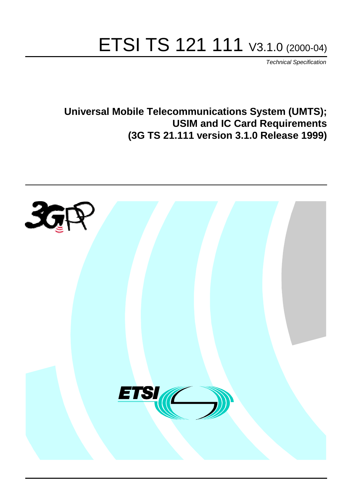# ETSI TS 121 111 V3.1.0 (2000-04)

Technical Specification

**Universal Mobile Telecommunications System (UMTS); USIM and IC Card Requirements (3G TS 21.111 version 3.1.0 Release 1999)**

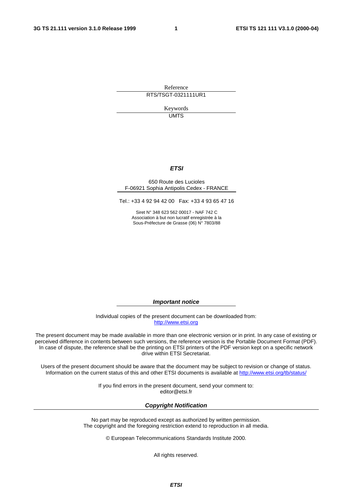Reference RTS/TSGT-0321111UR1

> Keywords UMTS

#### **ETSI**

#### 650 Route des Lucioles F-06921 Sophia Antipolis Cedex - FRANCE

Tel.: +33 4 92 94 42 00 Fax: +33 4 93 65 47 16

Siret N° 348 623 562 00017 - NAF 742 C Association à but non lucratif enregistrée à la Sous-Préfecture de Grasse (06) N° 7803/88

**Important notice**

Individual copies of the present document can be downloaded from: [http://www.etsi.org](http://www.etsi.org/)

The present document may be made available in more than one electronic version or in print. In any case of existing or perceived difference in contents between such versions, the reference version is the Portable Document Format (PDF). In case of dispute, the reference shall be the printing on ETSI printers of the PDF version kept on a specific network drive within ETSI Secretariat.

Users of the present document should be aware that the document may be subject to revision or change of status. Information on the current status of this and other ETSI documents is available at [http://www.etsi.org/tb/status/](http://www.etsi.org/tb/status)

> If you find errors in the present document, send your comment to: <editor@etsi.fr>

#### **Copyright Notification**

No part may be reproduced except as authorized by written permission. The copyright and the foregoing restriction extend to reproduction in all media.

© European Telecommunications Standards Institute 2000.

All rights reserved.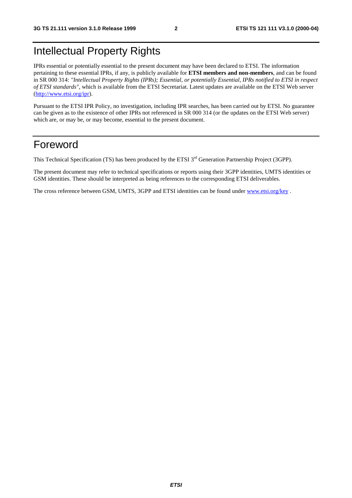## Intellectual Property Rights

IPRs essential or potentially essential to the present document may have been declared to ETSI. The information pertaining to these essential IPRs, if any, is publicly available for **ETSI members and non-members**, and can be found in SR 000 314: *"Intellectual Property Rights (IPRs); Essential, or potentially Essential, IPRs notified to ETSI in respect of ETSI standards"*, which is available from the ETSI Secretariat. Latest updates are available on the ETSI Web server [\(http://www.etsi.org/ipr](http://www.etsi.org/ipr)).

Pursuant to the ETSI IPR Policy, no investigation, including IPR searches, has been carried out by ETSI. No guarantee can be given as to the existence of other IPRs not referenced in SR 000 314 (or the updates on the ETSI Web server) which are, or may be, or may become, essential to the present document.

## Foreword

This Technical Specification (TS) has been produced by the ETSI 3<sup>rd</sup> Generation Partnership Project (3GPP).

The present document may refer to technical specifications or reports using their 3GPP identities, UMTS identities or GSM identities. These should be interpreted as being references to the corresponding ETSI deliverables.

The cross reference between GSM, UMTS, 3GPP and ETSI identities can be found under [www.etsi.org/key](http://www.etsi.org/key) .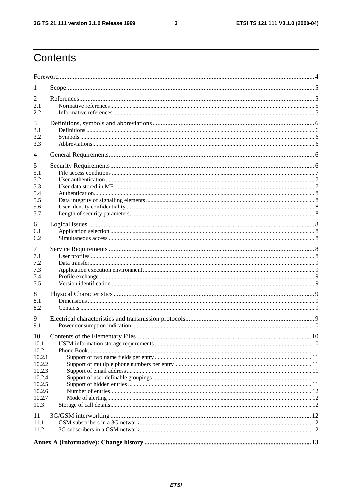# Contents

| 1                                                                                                |  |     |  |  |  |  |
|--------------------------------------------------------------------------------------------------|--|-----|--|--|--|--|
| 2<br>2.1<br>2.2                                                                                  |  |     |  |  |  |  |
| 3<br>3.1<br>3.2<br>3.3                                                                           |  |     |  |  |  |  |
| $\overline{4}$                                                                                   |  |     |  |  |  |  |
| 5<br>5.1<br>5.2<br>5.3<br>5.4<br>5.5<br>5.6<br>5.7                                               |  |     |  |  |  |  |
| 6<br>6.1<br>6.2                                                                                  |  |     |  |  |  |  |
| 7<br>7.1<br>7.2<br>7.3<br>7.4<br>7.5                                                             |  |     |  |  |  |  |
| 8<br>8.1<br>8.2                                                                                  |  |     |  |  |  |  |
| 9<br>9.1                                                                                         |  |     |  |  |  |  |
| 10<br>10.1<br>10.2<br>10.2.1<br>10.2.2<br>10.2.3<br>10.2.4<br>10.2.5<br>10.2.6<br>10.2.7<br>10.3 |  | .10 |  |  |  |  |
| 11<br>11.1<br>11.2                                                                               |  |     |  |  |  |  |
|                                                                                                  |  |     |  |  |  |  |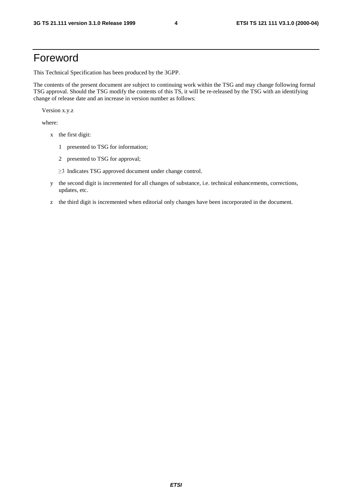## Foreword

This Technical Specification has been produced by the 3GPP.

The contents of the present document are subject to continuing work within the TSG and may change following formal TSG approval. Should the TSG modify the contents of this TS, it will be re-released by the TSG with an identifying change of release date and an increase in version number as follows:

Version x.y.z

where:

- x the first digit:
	- 1 presented to TSG for information;
	- 2 presented to TSG for approval;
	- $\geq$ 3 Indicates TSG approved document under change control.
- y the second digit is incremented for all changes of substance, i.e. technical enhancements, corrections, updates, etc.
- z the third digit is incremented when editorial only changes have been incorporated in the document.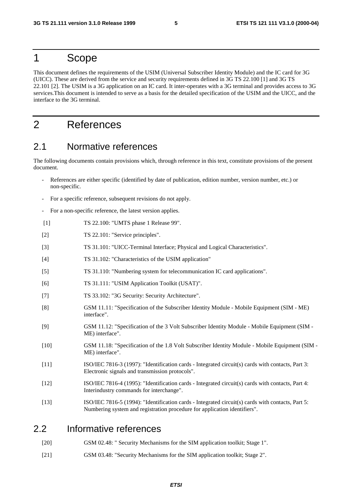#### 1 Scope

This document defines the requirements of the USIM (Universal Subscriber Identity Module) and the IC card for 3G (UICC). These are derived from the service and security requirements defined in 3G TS 22.100 [1] and 3G TS 22.101 [2]. The USIM is a 3G application on an IC card. It inter-operates with a 3G terminal and provides access to 3G services.This document is intended to serve as a basis for the detailed specification of the USIM and the UICC, and the interface to the 3G terminal.

## 2 References

#### 2.1 Normative references

The following documents contain provisions which, through reference in this text, constitute provisions of the present document.

- References are either specific (identified by date of publication, edition number, version number, etc.) or non-specific.
- For a specific reference, subsequent revisions do not apply.
- For a non-specific reference, the latest version applies.
- [1] TS 22.100: "UMTS phase 1 Release 99".
- [2] TS 22.101: "Service principles".
- [3] TS 31.101: "UICC-Terminal Interface; Physical and Logical Characteristics".
- [4] TS 31.102: "Characteristics of the USIM application"
- [5] TS 31.110: "Numbering system for telecommunication IC card applications".
- [6] TS 31.111: "USIM Application Toolkit (USAT)".
- [7] TS 33.102: "3G Security: Security Architecture".
- [8] GSM 11.11: "Specification of the Subscriber Identity Module Mobile Equipment (SIM ME) interface".
- [9] GSM 11.12: "Specification of the 3 Volt Subscriber Identity Module Mobile Equipment (SIM ME) interface".
- [10] GSM 11.18: "Specification of the 1.8 Volt Subscriber Identity Module Mobile Equipment (SIM ME) interface".
- [11] ISO/IEC 7816-3 (1997): "Identification cards Integrated circuit(s) cards with contacts, Part 3: Electronic signals and transmission protocols".
- [12] ISO/IEC 7816-4 (1995): "Identification cards Integrated circuit(s) cards with contacts, Part 4: Interindustry commands for interchange".
- [13] ISO/IEC 7816-5 (1994): "Identification cards Integrated circuit(s) cards with contacts, Part 5: Numbering system and registration procedure for application identifiers".

#### 2.2 Informative references

- [20] GSM 02.48: " Security Mechanisms for the SIM application toolkit; Stage 1".
- [21] GSM 03.48: "Security Mechanisms for the SIM application toolkit; Stage 2".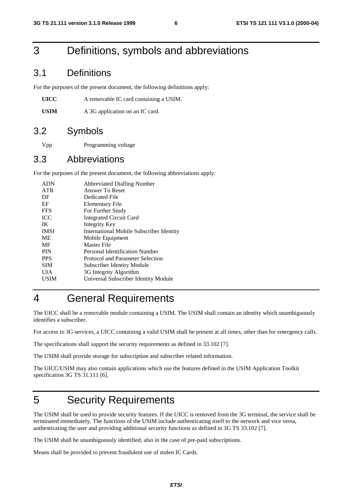# 3 Definitions, symbols and abbreviations

#### 3.1 Definitions

For the purposes of the present document, the following definitions apply:

**UICC** A removable IC card containing a USIM.

USIM A 3G application on an IC card.

#### 3.2 Symbols

Vpp Programming voltage

#### 3.3 Abbreviations

For the purposes of the present document, the following abbreviations apply:

| <b>ADN</b>  | <b>Abbreviated Dialling Number</b>              |
|-------------|-------------------------------------------------|
| <b>ATR</b>  | Answer To Reset                                 |
| DF          | Dedicated File                                  |
| EF          | Elementary File                                 |
| <b>FFS</b>  | For Further Study                               |
| <b>ICC</b>  | <b>Integrated Circuit Card</b>                  |
| IK          | Integrity Key                                   |
| <b>IMSI</b> | <b>International Mobile Subscriber Identity</b> |
| <b>ME</b>   | Mobile Equipment                                |
| MF          | Master File                                     |
| <b>PIN</b>  | Personal Identification Number                  |
| <b>PPS</b>  | Protocol and Parameter Selection                |
| <b>SIM</b>  | Subscriber Identity Module                      |
| UIA         | 3G Integrity Algorithm                          |
| USIM        | Universal Subscriber Identity Module            |
|             |                                                 |

## 4 General Requirements

The UICC shall be a removable module containing a USIM. The USIM shall contain an identity which unambiguously identifies a subscriber.

For access to 3G services, a UICC containing a valid USIM shall be present at all times, other than for emergency calls.

The specifications shall support the security requirements as defined in 33.102 [7].

The USIM shall provide storage for subscription and subscriber related information.

The UICC/USIM may also contain applications which use the features defined in the USIM Application Toolkit specification 3G TS 31.111 [6].

## 5 Security Requirements

The USIM shall be used to provide security features. If the UICC is removed from the 3G terminal, the service shall be terminated immediately. The functions of the USIM include authenticating itself to the network and vice versa, authenticating the user and providing additional security functions as defined in 3G TS 33.102 [7].

The USIM shall be unambiguously identified, also in the case of pre-paid subscriptions.

Means shall be provided to prevent fraudulent use of stolen IC Cards.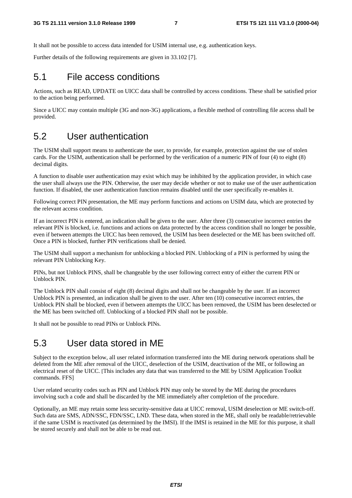It shall not be possible to access data intended for USIM internal use, e.g. authentication keys.

Further details of the following requirements are given in 33.102 [7].

#### 5.1 File access conditions

Actions, such as READ, UPDATE on UICC data shall be controlled by access conditions. These shall be satisfied prior to the action being performed.

Since a UICC may contain multiple (3G and non-3G) applications, a flexible method of controlling file access shall be provided.

#### 5.2 User authentication

The USIM shall support means to authenticate the user, to provide, for example, protection against the use of stolen cards. For the USIM, authentication shall be performed by the verification of a numeric PIN of four (4) to eight (8) decimal digits.

A function to disable user authentication may exist which may be inhibited by the application provider, in which case the user shall always use the PIN. Otherwise, the user may decide whether or not to make use of the user authentication function. If disabled, the user authentication function remains disabled until the user specifically re-enables it.

Following correct PIN presentation, the ME may perform functions and actions on USIM data, which are protected by the relevant access condition.

If an incorrect PIN is entered, an indication shall be given to the user. After three (3) consecutive incorrect entries the relevant PIN is blocked, i.e. functions and actions on data protected by the access condition shall no longer be possible, even if between attempts the UICC has been removed, the USIM has been deselected or the ME has been switched off. Once a PIN is blocked, further PIN verifications shall be denied.

The USIM shall support a mechanism for unblocking a blocked PIN. Unblocking of a PIN is performed by using the relevant PIN Unblocking Key.

PINs, but not Unblock PINS, shall be changeable by the user following correct entry of either the current PIN or Unblock PIN.

The Unblock PIN shall consist of eight (8) decimal digits and shall not be changeable by the user. If an incorrect Unblock PIN is presented, an indication shall be given to the user. After ten (10) consecutive incorrect entries, the Unblock PIN shall be blocked, even if between attempts the UICC has been removed, the USIM has been deselected or the ME has been switched off. Unblocking of a blocked PIN shall not be possible.

It shall not be possible to read PINs or Unblock PINs.

#### 5.3 User data stored in ME

Subject to the exception below, all user related information transferred into the ME during network operations shall be deleted from the ME after removal of the UICC, deselection of the USIM, deactivation of the ME, or following an electrical reset of the UICC. [This includes any data that was transferred to the ME by USIM Application Toolkit commands. FFS]

User related security codes such as PIN and Unblock PIN may only be stored by the ME during the procedures involving such a code and shall be discarded by the ME immediately after completion of the procedure.

Optionally, an ME may retain some less security-sensitive data at UICC removal, USIM deselection or ME switch-off. Such data are SMS, ADN/SSC, FDN/SSC, LND. These data, when stored in the ME, shall only be readable/retrievable if the same USIM is reactivated (as determined by the IMSI). If the IMSI is retained in the ME for this purpose, it shall be stored securely and shall not be able to be read out.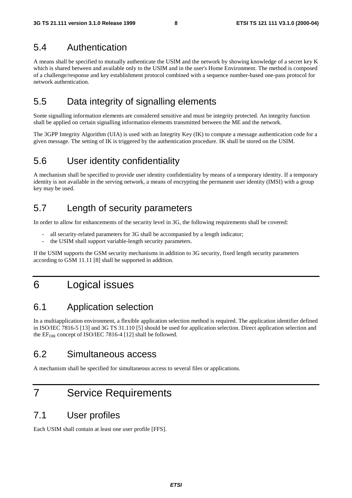#### 5.4 Authentication

A means shall be specified to mutually authenticate the USIM and the network by showing knowledge of a secret key K which is shared between and available only to the USIM and in the user's Home Environment. The method is composed of a challenge/response and key establishment protocol combined with a sequence number-based one-pass protocol for network authentication.

## 5.5 Data integrity of signalling elements

Some signalling information elements are considered sensitive and must be integrity protected. An integrity function shall be applied on certain signalling information elements transmitted between the ME and the network.

The 3GPP Integrity Algorithm (UIA) is used with an Integrity Key (IK) to compute a message authentication code for a given message. The setting of IK is triggered by the authentication procedure. IK shall be stored on the USIM.

## 5.6 User identity confidentiality

A mechanism shall be specified to provide user identity confidentiality by means of a temporary identity. If a temporary identity is not available in the serving network, a means of encrypting the permanent user identity (IMSI) with a group key may be used.

#### 5.7 Length of security parameters

In order to allow for enhancements of the security level in 3G, the following requirements shall be covered:

- all security-related parameters for 3G shall be accompanied by a length indicator;
- the USIM shall support variable-length security parameters.

If the USIM supports the GSM security mechanisms in addition to 3G security, fixed length security parameters according to GSM 11.11 [8] shall be supported in addition.

## 6 Logical issues

## 6.1 Application selection

In a multiapplication environment, a flexible application selection method is required. The application identifier defined in ISO/IEC 7816-5 [13] and 3G TS 31.110 [5] should be used for application selection. Direct application selection and the  $EF_{\text{DIR}}$  concept of ISO/IEC 7816-4 [12] shall be followed.

#### 6.2 Simultaneous access

A mechanism shall be specified for simultaneous access to several files or applications.

## 7 Service Requirements

#### 7.1 User profiles

Each USIM shall contain at least one user profile [FFS].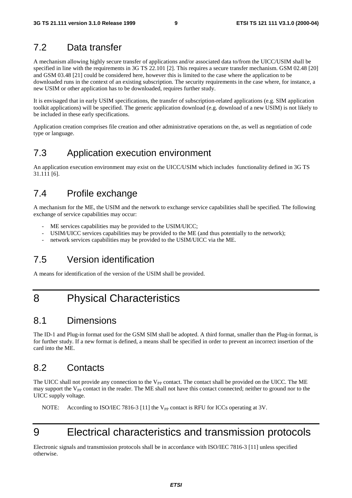#### 7.2 Data transfer

A mechanism allowing highly secure transfer of applications and/or associated data to/from the UICC/USIM shall be specified in line with the requirements in 3G TS 22.101 [2]. This requires a secure transfer mechanism. GSM 02.48 [20] and GSM 03.48 [21] could be considered here, however this is limited to the case where the application to be downloaded runs in the context of an existing subscription. The security requirements in the case where, for instance, a new USIM or other application has to be downloaded, requires further study.

It is envisaged that in early USIM specifications, the transfer of subscription-related applications (e.g. SIM application toolkit applications) will be specified. The generic application download (e.g. download of a new USIM) is not likely to be included in these early specifications.

Application creation comprises file creation and other administrative operations on the, as well as negotiation of code type or language.

## 7.3 Application execution environment

An application execution environment may exist on the UICC/USIM which includes functionality defined in 3G TS 31.111 [6].

#### 7.4 Profile exchange

A mechanism for the ME, the USIM and the network to exchange service capabilities shall be specified. The following exchange of service capabilities may occur:

- ME services capabilities may be provided to the USIM/UICC;
- USIM/UICC services capabilities may be provided to the ME (and thus potentially to the network);
- network services capabilities may be provided to the USIM/UICC via the ME.

## 7.5 Version identification

A means for identification of the version of the USIM shall be provided.

## 8 Physical Characteristics

#### 8.1 Dimensions

The ID-1 and Plug-in format used for the GSM SIM shall be adopted. A third format, smaller than the Plug-in format, is for further study. If a new format is defined, a means shall be specified in order to prevent an incorrect insertion of the card into the ME.

## 8.2 Contacts

The UICC shall not provide any connection to the  $V_{PP}$  contact. The contact shall be provided on the UICC. The ME may support the  $V_{PP}$  contact in the reader. The ME shall not have this contact connected; neither to ground nor to the UICC supply voltage.

NOTE: According to ISO/IEC 7816-3 [11] the  $V_{PP}$  contact is RFU for ICCs operating at 3V.

# 9 Electrical characteristics and transmission protocols

Electronic signals and transmission protocols shall be in accordance with ISO/IEC 7816-3 [11] unless specified otherwise.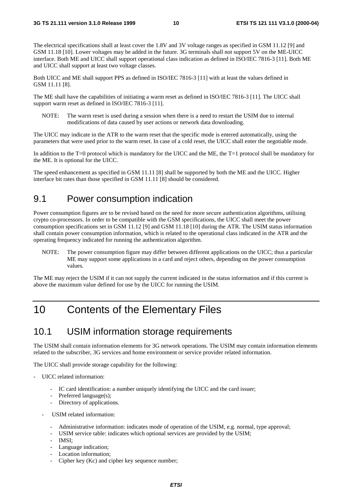The electrical specifications shall at least cover the 1.8V and 3V voltage ranges as specified in GSM 11.12 [9] and GSM 11.18 [10]. Lower voltages may be added in the future. 3G terminals shall not support 5V on the ME-UICC interface. Both ME and UICC shall support operational class indication as defined in ISO/IEC 7816-3 [11]. Both ME and UICC shall support at least two voltage classes.

Both UICC and ME shall support PPS as defined in ISO/IEC 7816-3 [11] with at least the values defined in GSM 11.11 [8].

The ME shall have the capabilities of initiating a warm reset as defined in ISO/IEC 7816-3 [11]. The UICC shall support warm reset as defined in ISO/IEC 7816-3 [11].

NOTE: The warm reset is used during a session when there is a need to restart the USIM due to internal modifications of data caused by user actions or network data downloading.

The UICC may indicate in the ATR to the warm reset that the specific mode is entered automatically, using the parameters that were used prior to the warm reset. In case of a cold reset, the UICC shall enter the negotiable mode.

In addition to the T=0 protocol which is mandatory for the UICC and the ME, the T=1 protocol shall be mandatory for the ME. It is optional for the UICC.

The speed enhancement as specified in GSM 11.11 [8] shall be supported by both the ME and the UICC. Higher interface bit rates than those specified in GSM 11.11 [8] should be considered.

#### 9.1 Power consumption indication

Power consumption figures are to be revised based on the need for more secure authentication algorithms, utilising crypto co-processors. In order to be compatible with the GSM specifications, the UICC shall meet the power consumption specifications set in GSM 11.12 [9] and GSM 11.18 [10] during the ATR. The USIM status information shall contain power consumption information, which is related to the operational class indicated in the ATR and the operating frequency indicated for running the authentication algorithm.

NOTE: The power consumption figure may differ between different applications on the UICC; thus a particular ME may support some applications in a card and reject others, depending on the power consumption values.

The ME may reject the USIM if it can not supply the current indicated in the status information and if this current is above the maximum value defined for use by the UICC for running the USIM.

# 10 Contents of the Elementary Files

#### 10.1 USIM information storage requirements

The USIM shall contain information elements for 3G network operations. The USIM may contain information elements related to the subscriber, 3G services and home environment or service provider related information.

The UICC shall provide storage capability for the following:

- UICC related information:
	- IC card identification: a number uniquely identifying the UICC and the card issuer;
	- Preferred language(s);
	- Directory of applications.
	- USIM related information:
		- Administrative information: indicates mode of operation of the USIM, e.g. normal, type approval;
		- USIM service table: indicates which optional services are provided by the USIM;
		- IMSI:
		- Language indication;
		- Location information;
		- Cipher key (Kc) and cipher key sequence number;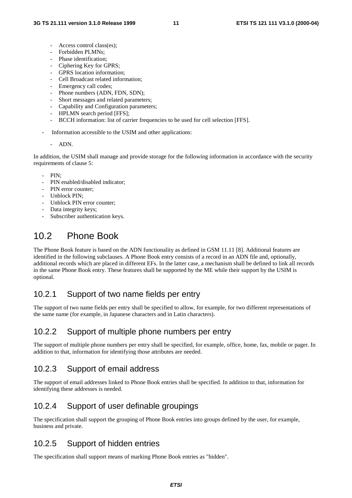- Access control class(es);
- Forbidden PLMNs;
- Phase identification;
- Ciphering Key for GPRS;
- GPRS location information;
- Cell Broadcast related information;
- Emergency call codes;
- Phone numbers (ADN, FDN, SDN);
- Short messages and related parameters;
- Capability and Configuration parameters;
- HPLMN search period [FFS];
- BCCH information: list of carrier frequencies to be used for cell selection [FFS].
- Information accessible to the USIM and other applications:

#### - ADN.

In addition, the USIM shall manage and provide storage for the following information in accordance with the security requirements of clause 5:

- PIN:
- PIN enabled/disabled indicator;
- PIN error counter:
- Unblock PIN:
- Unblock PIN error counter:
- Data integrity keys;
- Subscriber authentication keys.

# 10.2 Phone Book

The Phone Book feature is based on the ADN functionality as defined in GSM 11.11 [8]. Additional features are identified in the following subclauses. A Phone Book entry consists of a record in an ADN file and, optionally, additional records which are placed in different EFs. In the latter case, a mechanism shall be defined to link all records in the same Phone Book entry. These features shall be supported by the ME while their support by the USIM is optional.

#### 10.2.1 Support of two name fields per entry

The support of two name fields per entry shall be specified to allow, for example, for two different representations of the same name (for example, in Japanese characters and in Latin characters).

#### 10.2.2 Support of multiple phone numbers per entry

The support of multiple phone numbers per entry shall be specified, for example, office, home, fax, mobile or pager. In addition to that, information for identifying those attributes are needed.

#### 10.2.3 Support of email address

The support of email addresses linked to Phone Book entries shall be specified. In addition to that, information for identifying these addresses is needed.

#### 10.2.4 Support of user definable groupings

The specification shall support the grouping of Phone Book entries into groups defined by the user, for example, business and private.

#### 10.2.5 Support of hidden entries

The specification shall support means of marking Phone Book entries as "hidden".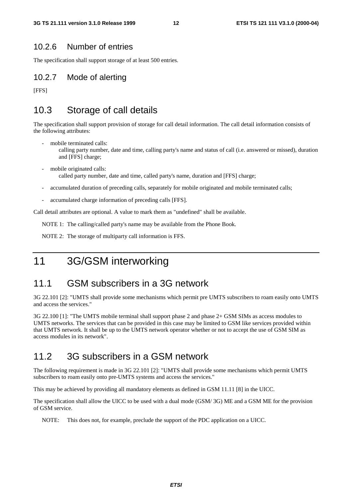#### 10.2.6 Number of entries

The specification shall support storage of at least 500 entries.

#### 10.2.7 Mode of alerting

[FFS]

## 10.3 Storage of call details

The specification shall support provision of storage for call detail information. The call detail information consists of the following attributes:

- mobile terminated calls:
	- calling party number, date and time, calling party's name and status of call (i.e. answered or missed), duration and [FFS] charge;
- mobile originated calls: called party number, date and time, called party's name, duration and [FFS] charge;
- accumulated duration of preceding calls, separately for mobile originated and mobile terminated calls;
- accumulated charge information of preceding calls [FFS].

Call detail attributes are optional. A value to mark them as "undefined" shall be available.

NOTE 1: The calling/called party's name may be available from the Phone Book.

NOTE 2: The storage of multiparty call information is FFS.

## 11 3G/GSM interworking

#### 11.1 GSM subscribers in a 3G network

3G 22.101 [2]: "UMTS shall provide some mechanisms which permit pre UMTS subscribers to roam easily onto UMTS and access the services."

3G 22.100 [1]: "The UMTS mobile terminal shall support phase 2 and phase 2+ GSM SIMs as access modules to UMTS networks. The services that can be provided in this case may be limited to GSM like services provided within that UMTS network. It shall be up to the UMTS network operator whether or not to accept the use of GSM SIM as access modules in its network".

#### 11.2 3G subscribers in a GSM network

The following requirement is made in 3G 22.101 [2]: "UMTS shall provide some mechanisms which permit UMTS subscribers to roam easily onto pre-UMTS systems and access the services."

This may be achieved by providing all mandatory elements as defined in GSM 11.11 [8] in the UICC.

The specification shall allow the UICC to be used with a dual mode (GSM/ 3G) ME and a GSM ME for the provision of GSM service.

NOTE: This does not, for example, preclude the support of the PDC application on a UICC.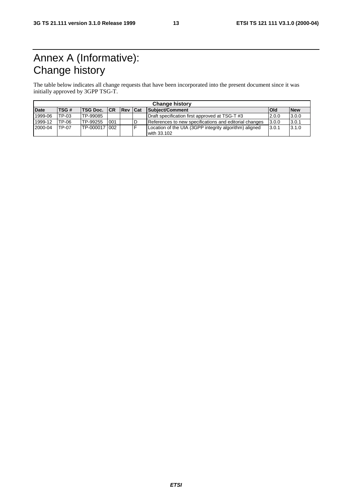# Annex A (Informative): Change history

The table below indicates all change requests that have been incorporated into the present document since it was initially approved by 3GPP TSG-T.

| <b>Change history</b> |       |                |     |     |     |                                                                       |            |            |
|-----------------------|-------|----------------|-----|-----|-----|-----------------------------------------------------------------------|------------|------------|
| <b>Date</b>           | TSG#  | TSG Doc.  CR   |     | Rev | Cat | Subject/Comment                                                       | <b>Old</b> | <b>New</b> |
| 1999-06               | TP-03 | TP-99085       |     |     |     | Draft specification first approved at TSG-T #3                        | 12.0.0     | 3.0.0      |
| 1999-12               | TP-06 | TP-99255       | 001 |     | ID  | References to new specifications and editorial changes                | 3.0.0      | 3.0.1      |
| 2000-04               | TP-07 | TP-000017 1002 |     |     | E   | Location of the UIA (3GPP integrity algorithm) aligned<br>with 33.102 | 13.0.1     | 3.1.0      |